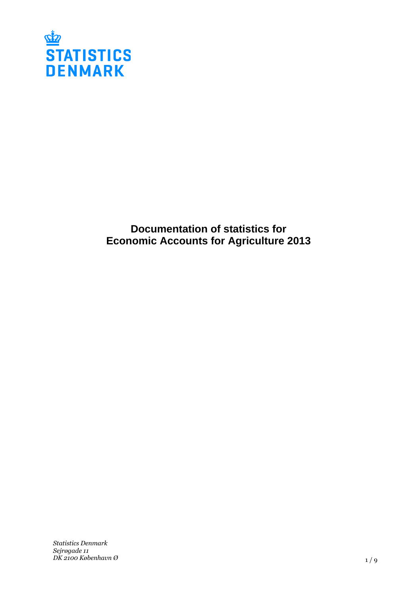

**Documentation of statistics for Economic Accounts for Agriculture 2013**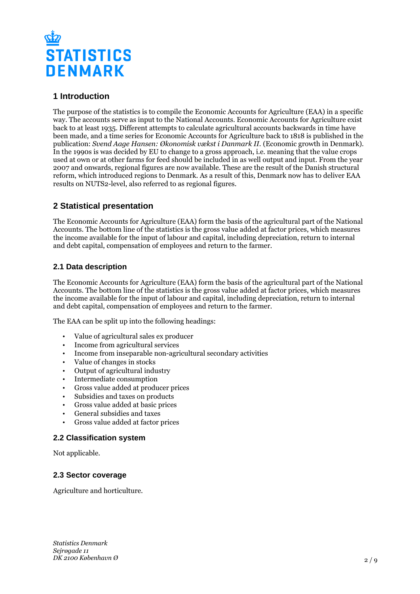

# **1 Introduction**

The purpose of the statistics is to compile the Economic Accounts for Agriculture (EAA) in a specific way. The accounts serve as input to the National Accounts. Economic Accounts for Agriculture exist back to at least 1935. Different attempts to calculate agricultural accounts backwards in time have been made, and a time series for Economic Accounts for Agriculture back to 1818 is published in the publication: *Svend Aage Hansen: Økonomisk vækst i Danmark II.* (Economic growth in Denmark). In the 1990s is was decided by EU to change to a gross approach, i.e. meaning that the value crops used at own or at other farms for feed should be included in as well output and input. From the year 2007 and onwards, regional figures are now available. These are the result of the Danish structural reform, which introduced regions to Denmark. As a result of this, Denmark now has to deliver EAA results on NUTS2-level, also referred to as regional figures.

# **2 Statistical presentation**

The Economic Accounts for Agriculture (EAA) form the basis of the agricultural part of the National Accounts. The bottom line of the statistics is the gross value added at factor prices, which measures the income available for the input of labour and capital, including depreciation, return to internal and debt capital, compensation of employees and return to the farmer.

## **2.1 Data description**

The Economic Accounts for Agriculture (EAA) form the basis of the agricultural part of the National Accounts. The bottom line of the statistics is the gross value added at factor prices, which measures the income available for the input of labour and capital, including depreciation, return to internal and debt capital, compensation of employees and return to the farmer.

The EAA can be split up into the following headings:

- Value of agricultural sales ex producer
- Income from agricultural services
- Income from inseparable non-agricultural secondary activities
- Value of changes in stocks
- Output of agricultural industry
- Intermediate consumption
- Gross value added at producer prices
- Subsidies and taxes on products<br>• Gross value added at basic prices
- Gross value added at basic prices
- General subsidies and taxes
- Gross value added at factor prices

### **2.2 Classification system**

Not applicable.

#### **2.3 Sector coverage**

Agriculture and horticulture.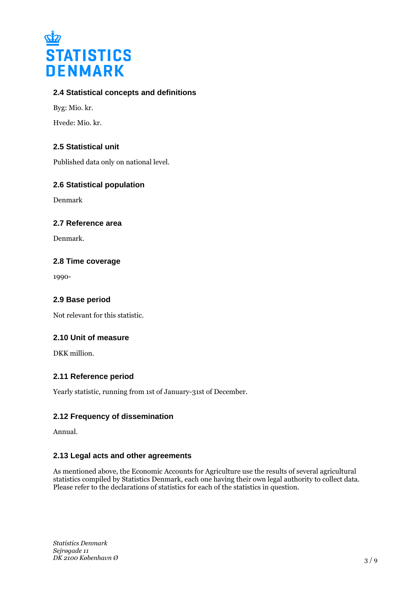

## **2.4 Statistical concepts and definitions**

Byg: Mio. kr.

Hvede: Mio. kr.

## **2.5 Statistical unit**

Published data only on national level.

### **2.6 Statistical population**

Denmark

#### **2.7 Reference area**

Denmark.

#### **2.8 Time coverage**

1990-

#### **2.9 Base period**

Not relevant for this statistic.

### **2.10 Unit of measure**

DKK million.

### **2.11 Reference period**

Yearly statistic, running from 1st of January-31st of December.

## **2.12 Frequency of dissemination**

Annual.

### **2.13 Legal acts and other agreements**

As mentioned above, the Economic Accounts for Agriculture use the results of several agricultural statistics compiled by Statistics Denmark, each one having their own legal authority to collect data. Please refer to the declarations of statistics for each of the statistics in question.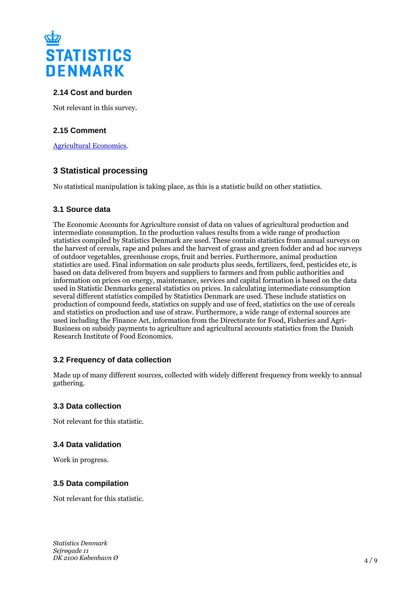

## **2.14 Cost and burden**

Not relevant in this survey.

## **2.15 Comment**

[Agricultural Economics](http://dst.dk/en/Statistik/emner/landbrug-gartneri-og-skovbrug/jordbrugets-oekonomi.aspx).

## **3 Statistical processing**

No statistical manipulation is taking place, as this is a statistic build on other statistics.

#### **3.1 Source data**

The Economic Accounts for Agriculture consist of data on values of agricultural production and intermediate consumption. In the production values results from a wide range of production statistics compiled by Statistics Denmark are used. These contain statistics from annual surveys on the harvest of cereals, rape and pulses and the harvest of grass and green fodder and ad hoc surveys of outdoor vegetables, greenhouse crops, fruit and berries. Furthermore, animal production statistics are used. Final information on sale products plus seeds, fertilizers, feed, pesticides etc, is based on data delivered from buyers and suppliers to farmers and from public authorities and information on prices on energy, maintenance, services and capital formation is based on the data used in Statistic Denmarks general statistics on prices. In calculating intermediate consumption several different statistics compiled by Statistics Denmark are used. These include statistics on production of compound feeds, statistics on supply and use of feed, statistics on the use of cereals and statistics on production and use of straw. Furthermore, a wide range of external sources are used including the Finance Act, information from the Directorate for Food, Fisheries and Agri-Business on subsidy payments to agriculture and agricultural accounts statistics from the Danish Research Institute of Food Economics.

### **3.2 Frequency of data collection**

Made up of many different sources, collected with widely different frequency from weekly to annual gathering.

#### **3.3 Data collection**

Not relevant for this statistic.

### **3.4 Data validation**

Work in progress.

#### **3.5 Data compilation**

Not relevant for this statistic.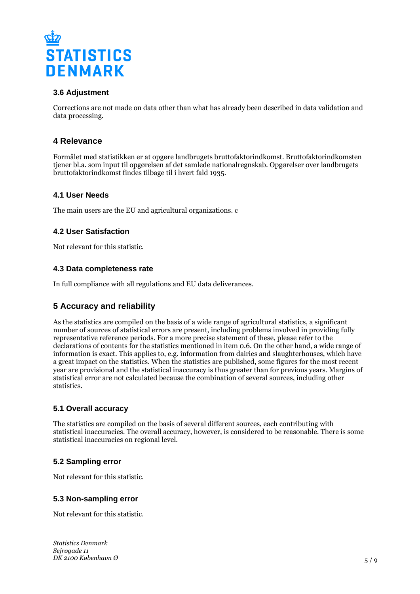

## **3.6 Adjustment**

Corrections are not made on data other than what has already been described in data validation and data processing.

# **4 Relevance**

Formålet med statistikken er at opgøre landbrugets bruttofaktorindkomst. Bruttofaktorindkomsten tjener bl.a. som input til opgørelsen af det samlede nationalregnskab. Opgørelser over landbrugets bruttofaktorindkomst findes tilbage til i hvert fald 1935.

### **4.1 User Needs**

The main users are the EU and agricultural organizations. c

### **4.2 User Satisfaction**

Not relevant for this statistic.

### **4.3 Data completeness rate**

In full compliance with all regulations and EU data deliverances.

## **5 Accuracy and reliability**

As the statistics are compiled on the basis of a wide range of agricultural statistics, a significant number of sources of statistical errors are present, including problems involved in providing fully representative reference periods. For a more precise statement of these, please refer to the declarations of contents for the statistics mentioned in item 0.6. On the other hand, a wide range of information is exact. This applies to, e.g. information from dairies and slaughterhouses, which have a great impact on the statistics. When the statistics are published, some figures for the most recent year are provisional and the statistical inaccuracy is thus greater than for previous years. Margins of statistical error are not calculated because the combination of several sources, including other statistics.

### **5.1 Overall accuracy**

The statistics are compiled on the basis of several different sources, each contributing with statistical inaccuracies. The overall accuracy, however, is considered to be reasonable. There is some statistical inaccuracies on regional level.

### **5.2 Sampling error**

Not relevant for this statistic.

### **5.3 Non-sampling error**

Not relevant for this statistic.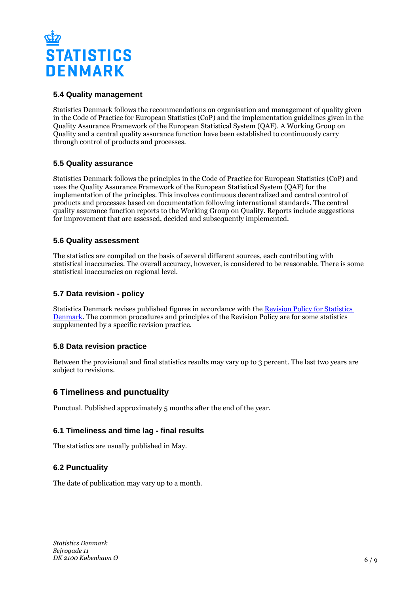

## **5.4 Quality management**

Statistics Denmark follows the recommendations on organisation and management of quality given in the Code of Practice for European Statistics (CoP) and the implementation guidelines given in the Quality Assurance Framework of the European Statistical System (QAF). A Working Group on Quality and a central quality assurance function have been established to continuously carry through control of products and processes.

### **5.5 Quality assurance**

Statistics Denmark follows the principles in the Code of Practice for European Statistics (CoP) and uses the Quality Assurance Framework of the European Statistical System (QAF) for the implementation of the principles. This involves continuous decentralized and central control of products and processes based on documentation following international standards. The central quality assurance function reports to the Working Group on Quality. Reports include suggestions for improvement that are assessed, decided and subsequently implemented.

### **5.6 Quality assessment**

The statistics are compiled on the basis of several different sources, each contributing with statistical inaccuracies. The overall accuracy, however, is considered to be reasonable. There is some statistical inaccuracies on regional level.

## **5.7 Data revision - policy**

Statistics Denmark revises published figures in accordance with the [Revision Policy for Statistics](https://www.dst.dk/en/OmDS/strategi-og-kvalitet/revisionspolitik.aspx)  [Denmark.](https://www.dst.dk/en/OmDS/strategi-og-kvalitet/revisionspolitik.aspx) The common procedures and principles of the Revision Policy are for some statistics supplemented by a specific revision practice.

### **5.8 Data revision practice**

Between the provisional and final statistics results may vary up to 3 percent. The last two years are subject to revisions.

## **6 Timeliness and punctuality**

Punctual. Published approximately 5 months after the end of the year.

### **6.1 Timeliness and time lag - final results**

The statistics are usually published in May.

### **6.2 Punctuality**

The date of publication may vary up to a month.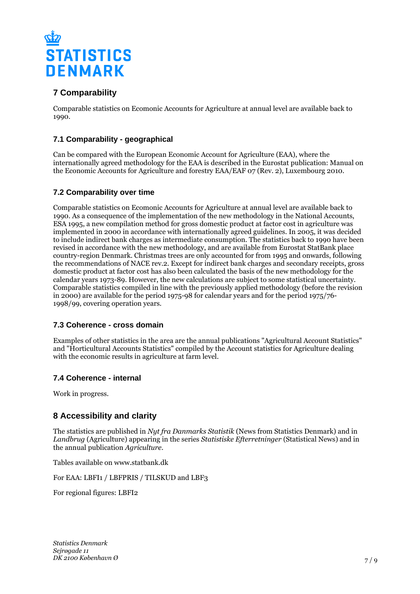

# **7 Comparability**

Comparable statistics on Ecomonic Accounts for Agriculture at annual level are available back to 1990.

## **7.1 Comparability - geographical**

Can be compared with the European Economic Account for Agriculture (EAA), where the internationally agreed methodology for the EAA is described in the Eurostat publication: Manual on the Economic Accounts for Agriculture and forestry EAA/EAF 07 (Rev. 2), Luxembourg 2010.

### **7.2 Comparability over time**

Comparable statistics on Ecomonic Accounts for Agriculture at annual level are available back to 1990. As a consequence of the implementation of the new methodology in the National Accounts, ESA 1995, a new compilation method for gross domestic product at factor cost in agriculture was implemented in 2000 in accordance with internationally agreed guidelines. In 2005, it was decided to include indirect bank charges as intermediate consumption. The statistics back to 1990 have been revised in accordance with the new methodology, and are available from Eurostat StatBank place country-region Denmark. Christmas trees are only accounted for from 1995 and onwards, following the recommendations of NACE rev.2. Except for indirect bank charges and secondary receipts, gross domestic product at factor cost has also been calculated the basis of the new methodology for the calendar years 1973-89. However, the new calculations are subject to some statistical uncertainty. Comparable statistics compiled in line with the previously applied methodology (before the revision in 2000) are available for the period 1975-98 for calendar years and for the period 1975/76- 1998/99, covering operation years.

### **7.3 Coherence - cross domain**

Examples of other statistics in the area are the annual publications "Agricultural Account Statistics" and "Horticultural Accounts Statistics" compiled by the Account statistics for Agriculture dealing with the economic results in agriculture at farm level.

### **7.4 Coherence - internal**

Work in progress.

## **8 Accessibility and clarity**

The statistics are published in *Nyt fra Danmarks Statistik* (News from Statistics Denmark) and in *Landbrug* (Agriculture) appearing in the series *Statistiske Efterretninger* (Statistical News) and in the annual publication *Agriculture*.

Tables available on www.statbank.dk

For EAA: LBFI1 / LBFPRIS / TILSKUD and LBF3

For regional figures: LBFI2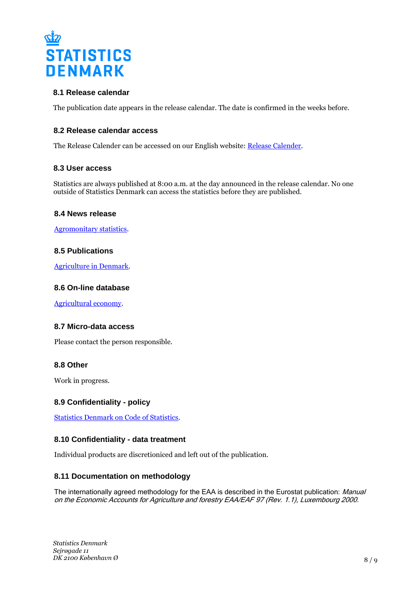

### **8.1 Release calendar**

The publication date appears in the release calendar. The date is confirmed in the weeks before.

#### **8.2 Release calendar access**

The Release Calender can be accessed on our English website: [Release Calender.](https://www.dst.dk/en/Statistik/offentliggoerelser.aspx)

#### **8.3 User access**

Statistics are always published at 8:00 a.m. at the day announced in the release calendar. No one outside of Statistics Denmark can access the statistics before they are published.

#### **8.4 News release**

[Agromonitary statistics.](https://www.dst.dk/en/Statistik/emner/landbrug-gartneri-og-skovbrug/jordbrugets-oekonomi.aspx)

#### **8.5 Publications**

[Agriculture in Denmark](https://www.dst.dk/en/Statistik/Publikationer/VisPub.aspx?cid=20699).

#### **8.6 On-line database**

[Agricultural economy](https://www.dst.dk/en/statistik/nyt/relateret.aspx?psi=196).

#### **8.7 Micro-data access**

Please contact the person responsible.

#### **8.8 Other**

Work in progress.

### **8.9 Confidentiality - policy**

[Statistics Denmark on Code of Statistics.](https://www.dst.dk/en/OmDS/lovgivning.aspx)

#### **8.10 Confidentiality - data treatment**

Individual products are discretioniced and left out of the publication.

#### **8.11 Documentation on methodology**

The internationally agreed methodology for the EAA is described in the Eurostat publication: Manual on the Economic Accounts for Agriculture and forestry EAA/EAF 97 (Rev. 1.1), Luxembourg 2000.